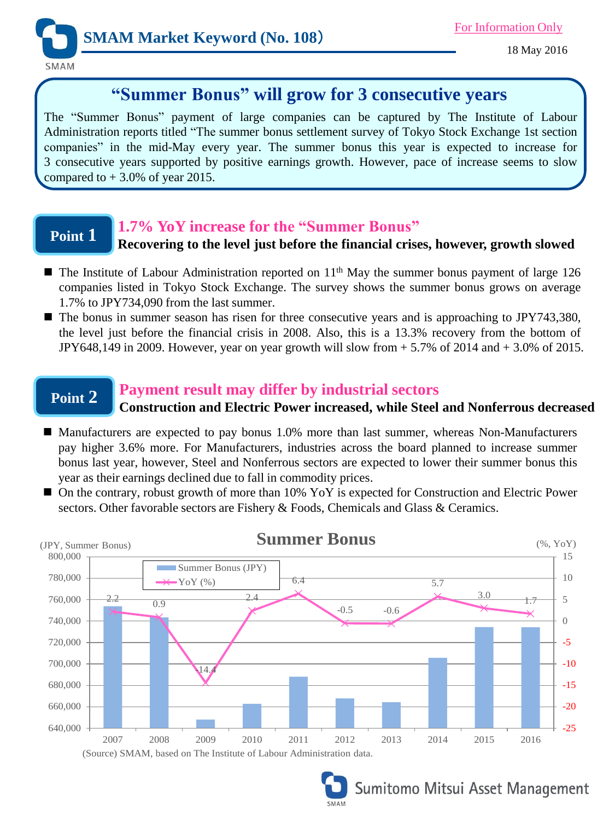

18 May 2016

**SMAM** 

## **"Summer Bonus" will grow for 3 consecutive years**

The "Summer Bonus" payment of large companies can be captured by The Institute of Labour Administration reports titled "The summer bonus settlement survey of Tokyo Stock Exchange 1st section companies" in the mid-May every year. The summer bonus this year is expected to increase for 3 consecutive years supported by positive earnings growth. However, pace of increase seems to slow compared to  $+3.0\%$  of year 2015.

# **Point 1**

## **1.7% YoY increase for the "Summer Bonus"**

### **Recovering to the level just before the financial crises, however, growth slowed**

- $\blacksquare$  The Institute of Labour Administration reported on 11<sup>th</sup> May the summer bonus payment of large 126 companies listed in Tokyo Stock Exchange. The survey shows the summer bonus grows on average 1.7% to JPY734,090 from the last summer.
- The bonus in summer season has risen for three consecutive years and is approaching to JPY743,380, the level just before the financial crisis in 2008. Also, this is a 13.3% recovery from the bottom of JPY648,149 in 2009. However, year on year growth will slow from  $+ 5.7\%$  of 2014 and  $+ 3.0\%$  of 2015.

# **Point 2**

### **Payment result may differ by industrial sectors**

## **Construction and Electric Power increased, while Steel and Nonferrous decreased**

- Manufacturers are expected to pay bonus 1.0% more than last summer, whereas Non-Manufacturers pay higher 3.6% more. For Manufacturers, industries across the board planned to increase summer bonus last year, however, Steel and Nonferrous sectors are expected to lower their summer bonus this year as their earnings declined due to fall in commodity prices.
- On the contrary, robust growth of more than 10% YoY is expected for Construction and Electric Power sectors. Other favorable sectors are Fishery & Foods, Chemicals and Glass & Ceramics.





# Sumitomo Mitsui Asset Management